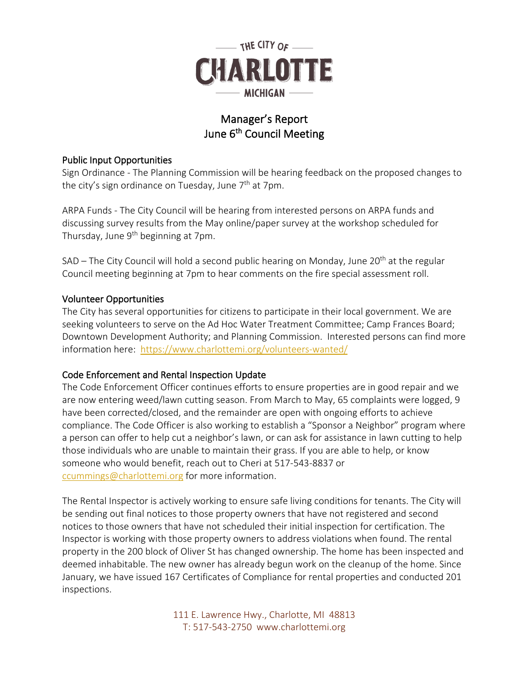

# Manager's Report June 6<sup>th</sup> Council Meeting

# Public Input Opportunities

Sign Ordinance - The Planning Commission will be hearing feedback on the proposed changes to the city's sign ordinance on Tuesday, June  $7<sup>th</sup>$  at 7pm.

ARPA Funds - The City Council will be hearing from interested persons on ARPA funds and discussing survey results from the May online/paper survey at the workshop scheduled for Thursday, June 9<sup>th</sup> beginning at 7pm.

SAD – The City Council will hold a second public hearing on Monday, June  $20<sup>th</sup>$  at the regular Council meeting beginning at 7pm to hear comments on the fire special assessment roll.

### Volunteer Opportunities

The City has several opportunities for citizens to participate in their local government. We are seeking volunteers to serve on the Ad Hoc Water Treatment Committee; Camp Frances Board; Downtown Development Authority; and Planning Commission. Interested persons can find more information here: <https://www.charlottemi.org/volunteers-wanted/>

# Code Enforcement and Rental Inspection Update

The Code Enforcement Officer continues efforts to ensure properties are in good repair and we are now entering weed/lawn cutting season. From March to May, 65 complaints were logged, 9 have been corrected/closed, and the remainder are open with ongoing efforts to achieve compliance. The Code Officer is also working to establish a "Sponsor a Neighbor" program where a person can offer to help cut a neighbor's lawn, or can ask for assistance in lawn cutting to help those individuals who are unable to maintain their grass. If you are able to help, or know someone who would benefit, reach out to Cheri at 517-543-8837 or [ccummings@charlottemi.org](mailto:ccummings@charlottemi.org) for more information.

The Rental Inspector is actively working to ensure safe living conditions for tenants. The City will be sending out final notices to those property owners that have not registered and second notices to those owners that have not scheduled their initial inspection for certification. The Inspector is working with those property owners to address violations when found. The rental property in the 200 block of Oliver St has changed ownership. The home has been inspected and deemed inhabitable. The new owner has already begun work on the cleanup of the home. Since January, we have issued 167 Certificates of Compliance for rental properties and conducted 201 inspections.

> 111 E. Lawrence Hwy., Charlotte, MI 48813 T: 517-543-2750 www.charlottemi.org